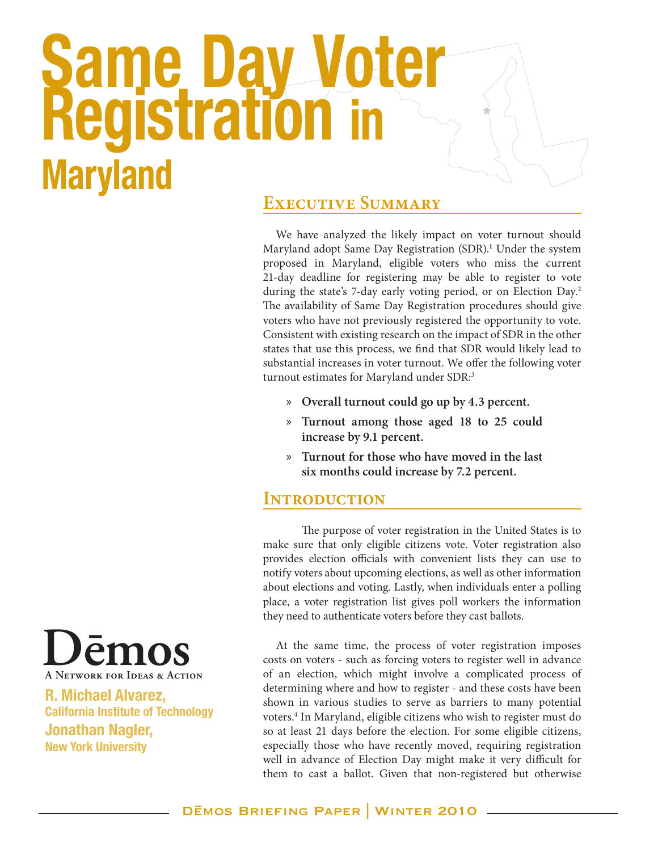# **Same Day Voter Registration in Maryland**

#### **Executive Summary**

We have analyzed the likely impact on voter turnout should Maryland adopt Same Day Registration (SDR).**<sup>1</sup>** Under the system proposed in Maryland, eligible voters who miss the current 21-day deadline for registering may be able to register to vote during the state's 7-day early voting period, or on Election Day.<sup>2</sup> The availability of Same Day Registration procedures should give voters who have not previously registered the opportunity to vote. Consistent with existing research on the impact of SDR in the other states that use this process, we find that SDR would likely lead to substantial increases in voter turnout. We offer the following voter turnout estimates for Maryland under SDR:<sup>3</sup>

- » **Overall turnout could go up by 4.3 percent.**
- » **Turnout among those aged 18 to 25 could increase by 9.1 percent.**
- » **Turnout for those who have moved in the last six months could increase by 7.2 percent.**

#### **Introduction**

The purpose of voter registration in the United States is to make sure that only eligible citizens vote. Voter registration also provides election officials with convenient lists they can use to notify voters about upcoming elections, as well as other information about elections and voting. Lastly, when individuals enter a polling place, a voter registration list gives poll workers the information they need to authenticate voters before they cast ballots.

At the same time, the process of voter registration imposes costs on voters - such as forcing voters to register well in advance of an election, which might involve a complicated process of determining where and how to register - and these costs have been shown in various studies to serve as barriers to many potential voters.4 In Maryland, eligible citizens who wish to register must do so at least 21 days before the election. For some eligible citizens, especially those who have recently moved, requiring registration well in advance of Election Day might make it very difficult for them to cast a ballot. Given that non-registered but otherwise



**R. Michael Alvarez, California Institute of Technology Jonathan Nagler, New York University**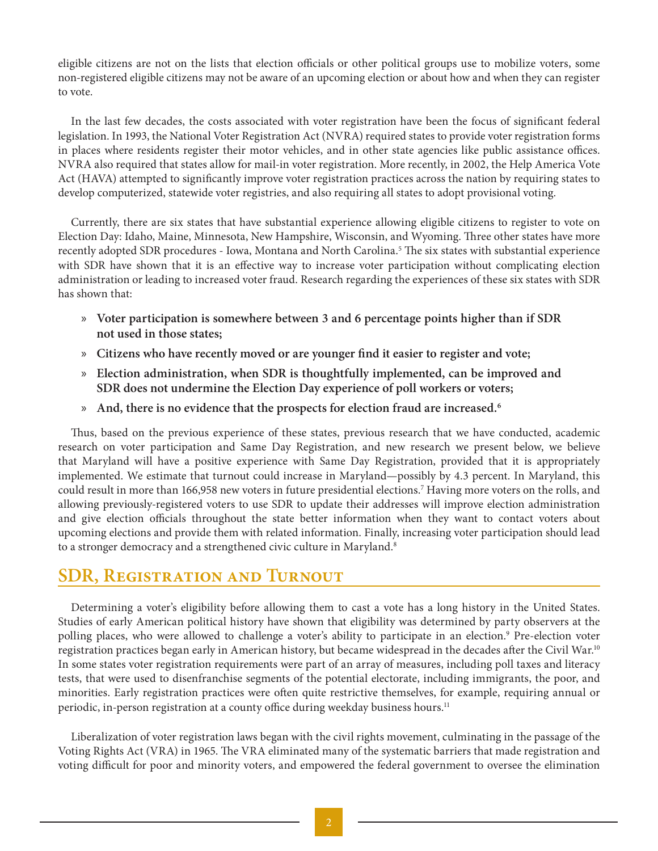eligible citizens are not on the lists that election officials or other political groups use to mobilize voters, some non-registered eligible citizens may not be aware of an upcoming election or about how and when they can register to vote.

In the last few decades, the costs associated with voter registration have been the focus of significant federal legislation. In 1993, the National Voter Registration Act (NVRA) required states to provide voter registration forms in places where residents register their motor vehicles, and in other state agencies like public assistance offices. NVRA also required that states allow for mail-in voter registration. More recently, in 2002, the Help America Vote Act (HAVA) attempted to significantly improve voter registration practices across the nation by requiring states to develop computerized, statewide voter registries, and also requiring all states to adopt provisional voting.

Currently, there are six states that have substantial experience allowing eligible citizens to register to vote on Election Day: Idaho, Maine, Minnesota, New Hampshire, Wisconsin, and Wyoming. Three other states have more recently adopted SDR procedures - Iowa, Montana and North Carolina.<sup>5</sup> The six states with substantial experience with SDR have shown that it is an effective way to increase voter participation without complicating election administration or leading to increased voter fraud. Research regarding the experiences of these six states with SDR has shown that:

- » **Voter participation is somewhere between 3 and 6 percentage points higher than if SDR not used in those states;**
- » **Citizens who have recently moved or are younger find it easier to register and vote;**
- » **Election administration, when SDR is thoughtfully implemented, can be improved and SDR does not undermine the Election Day experience of poll workers or voters;**
- » **And, there is no evidence that the prospects for election fraud are increased.6**

Thus, based on the previous experience of these states, previous research that we have conducted, academic research on voter participation and Same Day Registration, and new research we present below, we believe that Maryland will have a positive experience with Same Day Registration, provided that it is appropriately implemented. We estimate that turnout could increase in Maryland—possibly by 4.3 percent. In Maryland, this could result in more than 166,958 new voters in future presidential elections.7 Having more voters on the rolls, and allowing previously-registered voters to use SDR to update their addresses will improve election administration and give election officials throughout the state better information when they want to contact voters about upcoming elections and provide them with related information. Finally, increasing voter participation should lead to a stronger democracy and a strengthened civic culture in Maryland.<sup>8</sup>

#### **SDR, Registration and Turnout**

Determining a voter's eligibility before allowing them to cast a vote has a long history in the United States. Studies of early American political history have shown that eligibility was determined by party observers at the polling places, who were allowed to challenge a voter's ability to participate in an election.<sup>9</sup> Pre-election voter registration practices began early in American history, but became widespread in the decades after the Civil War.<sup>10</sup> In some states voter registration requirements were part of an array of measures, including poll taxes and literacy tests, that were used to disenfranchise segments of the potential electorate, including immigrants, the poor, and minorities. Early registration practices were often quite restrictive themselves, for example, requiring annual or periodic, in-person registration at a county office during weekday business hours.<sup>11</sup>

Liberalization of voter registration laws began with the civil rights movement, culminating in the passage of the Voting Rights Act (VRA) in 1965. The VRA eliminated many of the systematic barriers that made registration and voting difficult for poor and minority voters, and empowered the federal government to oversee the elimination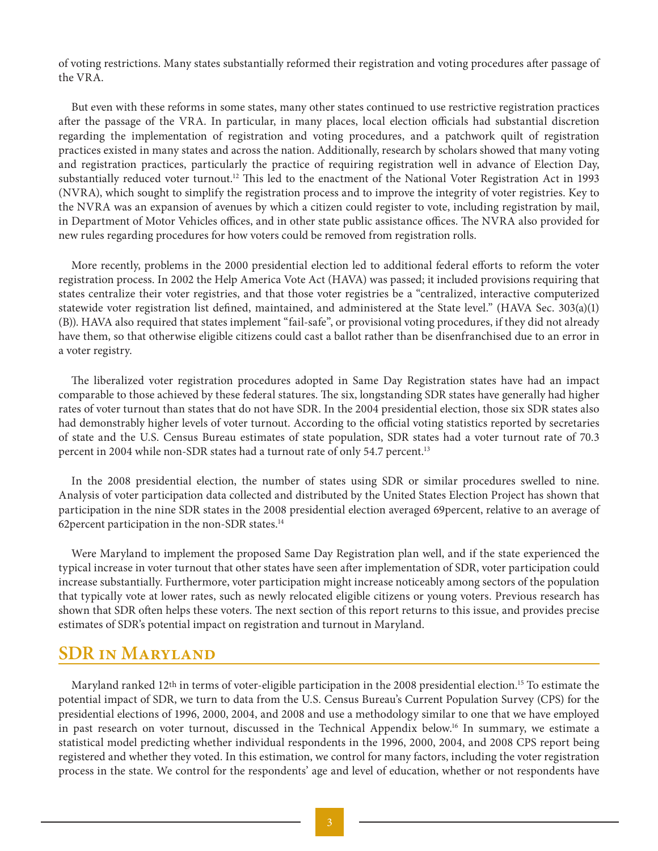of voting restrictions. Many states substantially reformed their registration and voting procedures after passage of the VRA.

But even with these reforms in some states, many other states continued to use restrictive registration practices after the passage of the VRA. In particular, in many places, local election officials had substantial discretion regarding the implementation of registration and voting procedures, and a patchwork quilt of registration practices existed in many states and across the nation. Additionally, research by scholars showed that many voting and registration practices, particularly the practice of requiring registration well in advance of Election Day, substantially reduced voter turnout.<sup>12</sup> This led to the enactment of the National Voter Registration Act in 1993 (NVRA), which sought to simplify the registration process and to improve the integrity of voter registries. Key to the NVRA was an expansion of avenues by which a citizen could register to vote, including registration by mail, in Department of Motor Vehicles offices, and in other state public assistance offices. The NVRA also provided for new rules regarding procedures for how voters could be removed from registration rolls.

More recently, problems in the 2000 presidential election led to additional federal efforts to reform the voter registration process. In 2002 the Help America Vote Act (HAVA) was passed; it included provisions requiring that states centralize their voter registries, and that those voter registries be a "centralized, interactive computerized statewide voter registration list defined, maintained, and administered at the State level." (HAVA Sec. 303(a)(1) (B)). HAVA also required that states implement "fail-safe", or provisional voting procedures, if they did not already have them, so that otherwise eligible citizens could cast a ballot rather than be disenfranchised due to an error in a voter registry.

The liberalized voter registration procedures adopted in Same Day Registration states have had an impact comparable to those achieved by these federal statures. The six, longstanding SDR states have generally had higher rates of voter turnout than states that do not have SDR. In the 2004 presidential election, those six SDR states also had demonstrably higher levels of voter turnout. According to the official voting statistics reported by secretaries of state and the U.S. Census Bureau estimates of state population, SDR states had a voter turnout rate of 70.3 percent in 2004 while non-SDR states had a turnout rate of only 54.7 percent.<sup>13</sup>

In the 2008 presidential election, the number of states using SDR or similar procedures swelled to nine. Analysis of voter participation data collected and distributed by the United States Election Project has shown that participation in the nine SDR states in the 2008 presidential election averaged 69percent, relative to an average of 62 percent participation in the non-SDR states.<sup>14</sup>

Were Maryland to implement the proposed Same Day Registration plan well, and if the state experienced the typical increase in voter turnout that other states have seen after implementation of SDR, voter participation could increase substantially. Furthermore, voter participation might increase noticeably among sectors of the population that typically vote at lower rates, such as newly relocated eligible citizens or young voters. Previous research has shown that SDR often helps these voters. The next section of this report returns to this issue, and provides precise estimates of SDR's potential impact on registration and turnout in Maryland.

#### **SDR in Maryland**

Maryland ranked 12th in terms of voter-eligible participation in the 2008 presidential election.15 To estimate the potential impact of SDR, we turn to data from the U.S. Census Bureau's Current Population Survey (CPS) for the presidential elections of 1996, 2000, 2004, and 2008 and use a methodology similar to one that we have employed in past research on voter turnout, discussed in the Technical Appendix below.<sup>16</sup> In summary, we estimate a statistical model predicting whether individual respondents in the 1996, 2000, 2004, and 2008 CPS report being registered and whether they voted. In this estimation, we control for many factors, including the voter registration process in the state. We control for the respondents' age and level of education, whether or not respondents have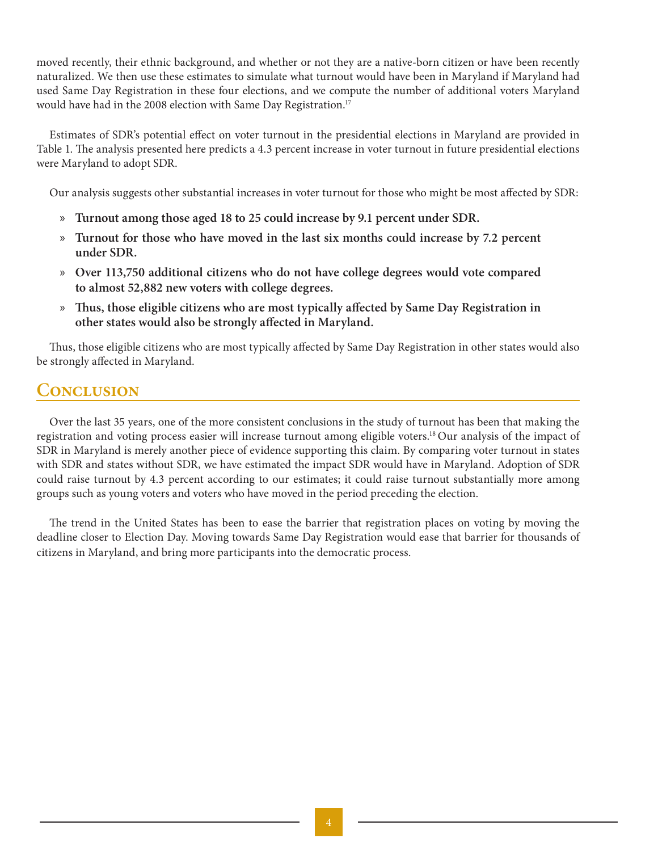moved recently, their ethnic background, and whether or not they are a native-born citizen or have been recently naturalized. We then use these estimates to simulate what turnout would have been in Maryland if Maryland had used Same Day Registration in these four elections, and we compute the number of additional voters Maryland would have had in the 2008 election with Same Day Registration.<sup>17</sup>

Estimates of SDR's potential effect on voter turnout in the presidential elections in Maryland are provided in Table 1. The analysis presented here predicts a 4.3 percent increase in voter turnout in future presidential elections were Maryland to adopt SDR.

Our analysis suggests other substantial increases in voter turnout for those who might be most affected by SDR:

- » **Turnout among those aged 18 to 25 could increase by 9.1 percent under SDR.**
- » **Turnout for those who have moved in the last six months could increase by 7.2 percent under SDR.**
- » **Over 113,750 additional citizens who do not have college degrees would vote compared to almost 52,882 new voters with college degrees.**
- » **Thus, those eligible citizens who are most typically affected by Same Day Registration in other states would also be strongly affected in Maryland.**

Thus, those eligible citizens who are most typically affected by Same Day Registration in other states would also be strongly affected in Maryland.

### **Conclusion**

Over the last 35 years, one of the more consistent conclusions in the study of turnout has been that making the registration and voting process easier will increase turnout among eligible voters.18 Our analysis of the impact of SDR in Maryland is merely another piece of evidence supporting this claim. By comparing voter turnout in states with SDR and states without SDR, we have estimated the impact SDR would have in Maryland. Adoption of SDR could raise turnout by 4.3 percent according to our estimates; it could raise turnout substantially more among groups such as young voters and voters who have moved in the period preceding the election.

The trend in the United States has been to ease the barrier that registration places on voting by moving the deadline closer to Election Day. Moving towards Same Day Registration would ease that barrier for thousands of citizens in Maryland, and bring more participants into the democratic process.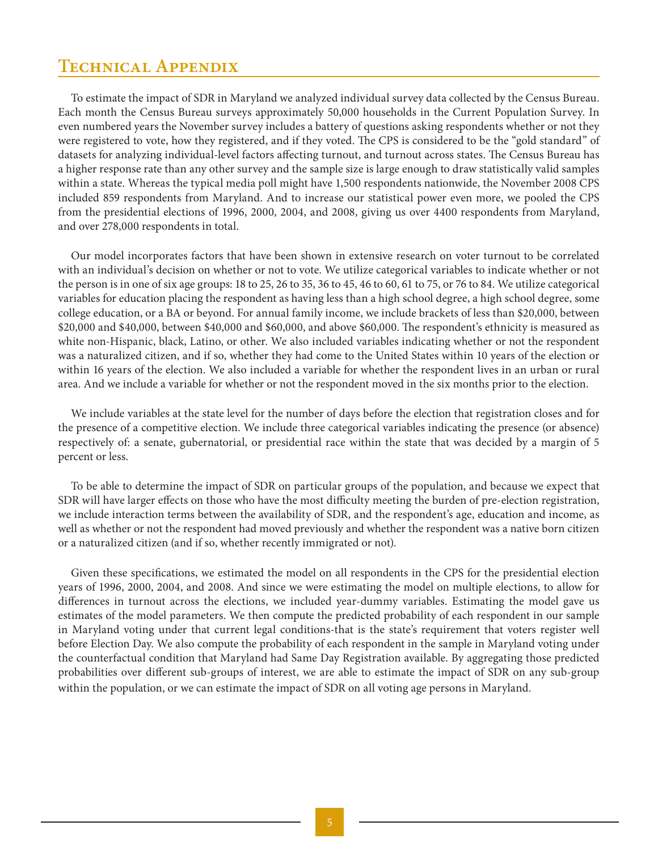#### **Technical Appendix**

To estimate the impact of SDR in Maryland we analyzed individual survey data collected by the Census Bureau. Each month the Census Bureau surveys approximately 50,000 households in the Current Population Survey. In even numbered years the November survey includes a battery of questions asking respondents whether or not they were registered to vote, how they registered, and if they voted. The CPS is considered to be the "gold standard" of datasets for analyzing individual-level factors affecting turnout, and turnout across states. The Census Bureau has a higher response rate than any other survey and the sample size is large enough to draw statistically valid samples within a state. Whereas the typical media poll might have 1,500 respondents nationwide, the November 2008 CPS included 859 respondents from Maryland. And to increase our statistical power even more, we pooled the CPS from the presidential elections of 1996, 2000, 2004, and 2008, giving us over 4400 respondents from Maryland, and over 278,000 respondents in total.

Our model incorporates factors that have been shown in extensive research on voter turnout to be correlated with an individual's decision on whether or not to vote. We utilize categorical variables to indicate whether or not the person is in one of six age groups: 18 to 25, 26 to 35, 36 to 45, 46 to 60, 61 to 75, or 76 to 84. We utilize categorical variables for education placing the respondent as having less than a high school degree, a high school degree, some college education, or a BA or beyond. For annual family income, we include brackets of less than \$20,000, between \$20,000 and \$40,000, between \$40,000 and \$60,000, and above \$60,000. The respondent's ethnicity is measured as white non-Hispanic, black, Latino, or other. We also included variables indicating whether or not the respondent was a naturalized citizen, and if so, whether they had come to the United States within 10 years of the election or within 16 years of the election. We also included a variable for whether the respondent lives in an urban or rural area. And we include a variable for whether or not the respondent moved in the six months prior to the election.

We include variables at the state level for the number of days before the election that registration closes and for the presence of a competitive election. We include three categorical variables indicating the presence (or absence) respectively of: a senate, gubernatorial, or presidential race within the state that was decided by a margin of 5 percent or less.

To be able to determine the impact of SDR on particular groups of the population, and because we expect that SDR will have larger effects on those who have the most difficulty meeting the burden of pre-election registration, we include interaction terms between the availability of SDR, and the respondent's age, education and income, as well as whether or not the respondent had moved previously and whether the respondent was a native born citizen or a naturalized citizen (and if so, whether recently immigrated or not).

Given these specifications, we estimated the model on all respondents in the CPS for the presidential election years of 1996, 2000, 2004, and 2008. And since we were estimating the model on multiple elections, to allow for differences in turnout across the elections, we included year-dummy variables. Estimating the model gave us estimates of the model parameters. We then compute the predicted probability of each respondent in our sample in Maryland voting under that current legal conditions-that is the state's requirement that voters register well before Election Day. We also compute the probability of each respondent in the sample in Maryland voting under the counterfactual condition that Maryland had Same Day Registration available. By aggregating those predicted probabilities over different sub-groups of interest, we are able to estimate the impact of SDR on any sub-group within the population, or we can estimate the impact of SDR on all voting age persons in Maryland.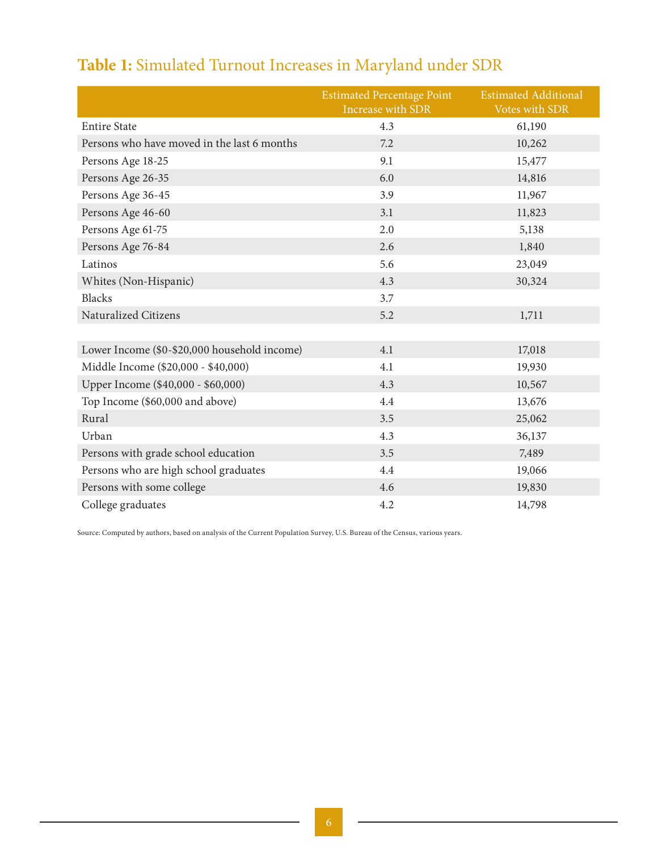# **Table 1:** Simulated Turnout Increases in Maryland under SDR

|                                              | <b>Estimated Percentage Point</b><br>Increase with SDR | <b>Estimated Additional</b><br>Votes with SDR |
|----------------------------------------------|--------------------------------------------------------|-----------------------------------------------|
| <b>Entire State</b>                          | 4.3                                                    | 61,190                                        |
| Persons who have moved in the last 6 months  | 7.2                                                    | 10,262                                        |
| Persons Age 18-25                            | 9.1                                                    | 15,477                                        |
| Persons Age 26-35                            | 6.0                                                    | 14,816                                        |
| Persons Age 36-45                            | 3.9                                                    | 11,967                                        |
| Persons Age 46-60                            | 3.1                                                    | 11,823                                        |
| Persons Age 61-75                            | 2.0                                                    | 5,138                                         |
| Persons Age 76-84                            | 2.6                                                    | 1,840                                         |
| Latinos                                      | 5.6                                                    | 23,049                                        |
| Whites (Non-Hispanic)                        | 4.3                                                    | 30,324                                        |
| Blacks                                       | 3.7                                                    |                                               |
| Naturalized Citizens                         | 5.2                                                    | 1,711                                         |
|                                              |                                                        |                                               |
| Lower Income (\$0-\$20,000 household income) | 4.1                                                    | 17,018                                        |
| Middle Income (\$20,000 - \$40,000)          | 4.1                                                    | 19,930                                        |
| Upper Income (\$40,000 - \$60,000)           | 4.3                                                    | 10,567                                        |
| Top Income (\$60,000 and above)              | 4.4                                                    | 13,676                                        |
| Rural                                        | 3.5                                                    | 25,062                                        |
| Urban                                        | 4.3                                                    | 36,137                                        |
| Persons with grade school education          | 3.5                                                    | 7,489                                         |
| Persons who are high school graduates        | 4.4                                                    | 19,066                                        |
| Persons with some college                    | 4.6                                                    | 19,830                                        |
| College graduates                            | 4.2                                                    | 14,798                                        |

Source: Computed by authors, based on analysis of the Current Population Survey, U.S. Bureau of the Census, various years.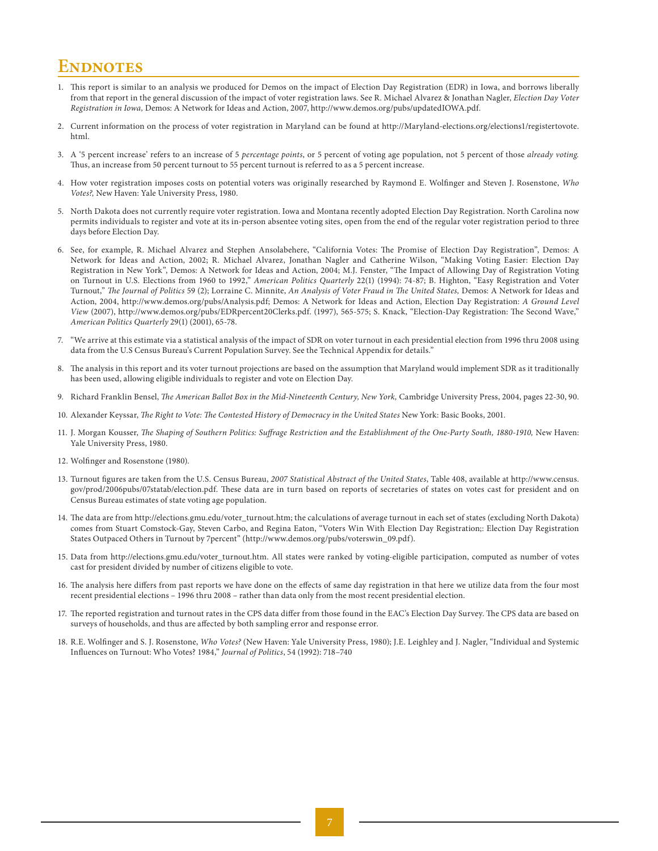#### **ENDNOTES**

- 1. This report is similar to an analysis we produced for Demos on the impact of Election Day Registration (EDR) in Iowa, and borrows liberally from that report in the general discussion of the impact of voter registration laws. See R. Michael Alvarez & Jonathan Nagler, *Election Day Voter Registration in Iowa,* Demos: A Network for Ideas and Action, 2007, http://www.demos.org/pubs/updatedIOWA.pdf.
- 2. Current information on the process of voter registration in Maryland can be found at http://Maryland-elections.org/elections1/registertovote. html.
- 3. A '5 percent increase' refers to an increase of 5 *percentage points*, or 5 percent of voting age population, not 5 percent of those *already voting.* Thus, an increase from 50 percent turnout to 55 percent turnout is referred to as a 5 percent increase.
- 4. How voter registration imposes costs on potential voters was originally researched by Raymond E. Wolfinger and Steven J. Rosenstone, *Who Votes?,* New Haven: Yale University Press, 1980.
- 5. North Dakota does not currently require voter registration. Iowa and Montana recently adopted Election Day Registration. North Carolina now permits individuals to register and vote at its in-person absentee voting sites, open from the end of the regular voter registration period to three days before Election Day.
- 6. See, for example, R. Michael Alvarez and Stephen Ansolabehere, "California Votes: The Promise of Election Day Registration", Demos: A Network for Ideas and Action, 2002; R. Michael Alvarez, Jonathan Nagler and Catherine Wilson, "Making Voting Easier: Election Day Registration in New York", Demos: A Network for Ideas and Action, 2004; M.J. Fenster, "The Impact of Allowing Day of Registration Voting on Turnout in U.S. Elections from 1960 to 1992," *American Politics Quarterly* 22(1) (1994): 74-87; B. Highton, "Easy Registration and Voter Turnout," *The Journal of Politics* 59 (2); Lorraine C. Minnite, *An Analysis of Voter Fraud in The United States,* Demos: A Network for Ideas and Action, 2004, http://www.demos.org/pubs/Analysis.pdf; Demos: A Network for Ideas and Action, Election Day Registration: *A Ground Level View* (2007), http://www.demos.org/pubs/EDRpercent20Clerks.pdf. (1997), 565-575; S. Knack, "Election-Day Registration: The Second Wave," *American Politics Quarterly* 29(1) (2001), 65-78.
- 7. "We arrive at this estimate via a statistical analysis of the impact of SDR on voter turnout in each presidential election from 1996 thru 2008 using data from the U.S Census Bureau's Current Population Survey. See the Technical Appendix for details."
- 8. The analysis in this report and its voter turnout projections are based on the assumption that Maryland would implement SDR as it traditionally has been used, allowing eligible individuals to register and vote on Election Day.
- 9. Richard Franklin Bensel, *The American Ballot Box in the Mid-Nineteenth Century, New York,* Cambridge University Press, 2004, pages 22-30, 90.
- 10. Alexander Keyssar, *The Right to Vote: The Contested History of Democracy in the United States* New York: Basic Books, 2001.
- 11. J. Morgan Kousser, *The Shaping of Southern Politics: Suffrage Restriction and the Establishment of the One-Party South, 1880-1910,* New Haven: Yale University Press, 1980.
- 12. Wolfinger and Rosenstone (1980).
- 13. Turnout figures are taken from the U.S. Census Bureau, *2007 Statistical Abstract of the United States*, Table 408, available at http://www.census. gov/prod/2006pubs/07statab/election.pdf. These data are in turn based on reports of secretaries of states on votes cast for president and on Census Bureau estimates of state voting age population.
- 14. The data are from http://elections.gmu.edu/voter\_turnout.htm; the calculations of average turnout in each set of states (excluding North Dakota) comes from Stuart Comstock-Gay, Steven Carbo, and Regina Eaton, "Voters Win With Election Day Registration;: Election Day Registration States Outpaced Others in Turnout by 7percent" (http://www.demos.org/pubs/voterswin\_09.pdf).
- 15. Data from http://elections.gmu.edu/voter\_turnout.htm. All states were ranked by voting-eligible participation, computed as number of votes cast for president divided by number of citizens eligible to vote.
- 16. The analysis here differs from past reports we have done on the effects of same day registration in that here we utilize data from the four most recent presidential elections – 1996 thru 2008 – rather than data only from the most recent presidential election.
- 17. The reported registration and turnout rates in the CPS data differ from those found in the EAC's Election Day Survey. The CPS data are based on surveys of households, and thus are affected by both sampling error and response error.
- 18. R.E. Wolfinger and S. J. Rosenstone, *Who Votes?* (New Haven: Yale University Press, 1980); J.E. Leighley and J. Nagler, "Individual and Systemic Influences on Turnout: Who Votes? 1984," *Journal of Politics*, 54 (1992): 718–740